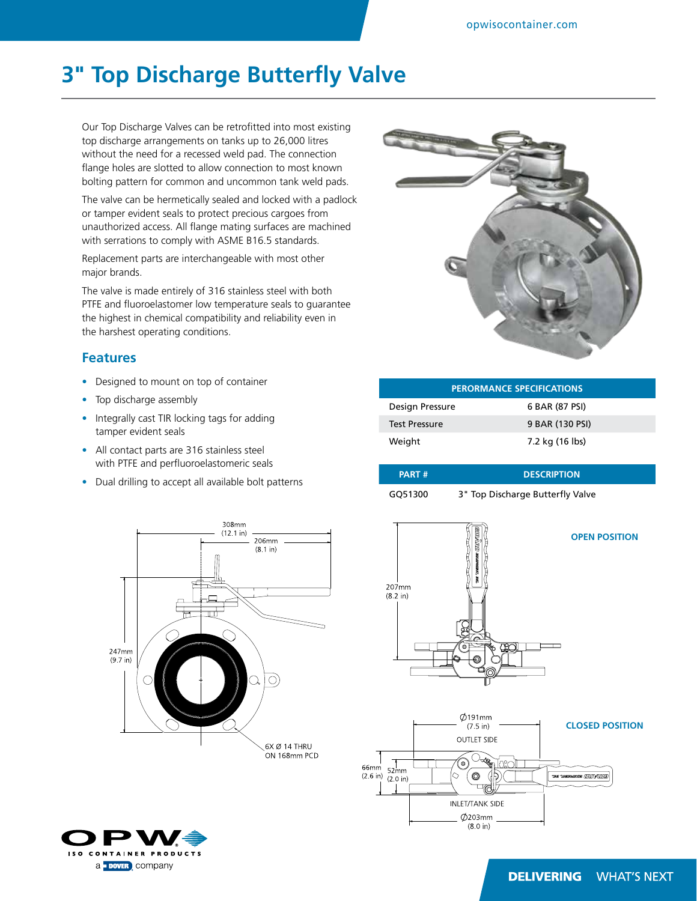## **3" Top Discharge Butterfly Valve**

Our Top Discharge Valves can be retrofitted into most existing top discharge arrangements on tanks up to 26,000 litres without the need for a recessed weld pad. The connection flange holes are slotted to allow connection to most known bolting pattern for common and uncommon tank weld pads.

The valve can be hermetically sealed and locked with a padlock or tamper evident seals to protect precious cargoes from unauthorized access. All flange mating surfaces are machined with serrations to comply with ASME B16.5 standards.

Replacement parts are interchangeable with most other major brands.

The valve is made entirely of 316 stainless steel with both PTFE and fluoroelastomer low temperature seals to guarantee the highest in chemical compatibility and reliability even in the harshest operating conditions.

## **Features**

- Designed to mount on top of container
- Top discharge assembly
- Integrally cast TIR locking tags for adding tamper evident seals
- All contact parts are 316 stainless steel with PTFE and perfluoroelastomeric seals
- Dual drilling to accept all available bolt patterns







| <b>PERORMANCE SPECIFICATIONS</b> |                 |  |  |
|----------------------------------|-----------------|--|--|
| Design Pressure                  | 6 BAR (87 PSI)  |  |  |
| <b>Test Pressure</b>             | 9 BAR (130 PSI) |  |  |
| Weight                           | 7.2 kg (16 lbs) |  |  |

| <b>PART#</b> | <b>DESCRIPTION</b>               |
|--------------|----------------------------------|
| GO51300      | 3" Top Discharge Butterfly Valve |



## **DELIVERING WHAT'S NEXT**